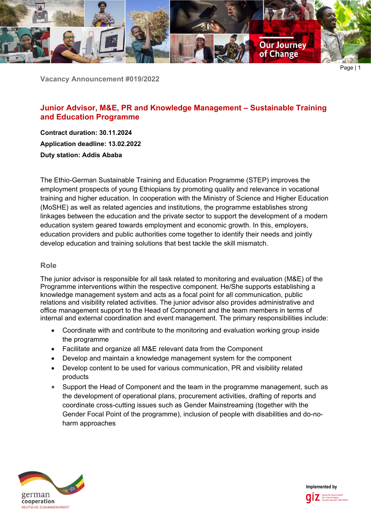

**Vacancy Announcement #019/2022**

# **Junior Advisor, M&E, PR and Knowledge Management – Sustainable Training and Education Programme**

**Contract duration: 30.11.2024 Application deadline: 13.02.2022 Duty station: Addis Ababa**

The Ethio-German Sustainable Training and Education Programme (STEP) improves the employment prospects of young Ethiopians by promoting quality and relevance in vocational training and higher education. In cooperation with the Ministry of Science and Higher Education (MoSHE) as well as related agencies and institutions, the programme establishes strong linkages between the education and the private sector to support the development of a modern education system geared towards employment and economic growth. In this, employers, education providers and public authorities come together to identify their needs and jointly develop education and training solutions that best tackle the skill mismatch.

### **Role**

The junior advisor is responsible for all task related to monitoring and evaluation (M&E) of the Programme interventions within the respective component. He/She supports establishing a knowledge management system and acts as a focal point for all communication, public relations and visibility related activities. The junior advisor also provides administrative and office management support to the Head of Component and the team members in terms of internal and external coordination and event management. The primary responsibilities include:

- Coordinate with and contribute to the monitoring and evaluation working group inside the programme
- Facilitate and organize all M&E relevant data from the Component
- Develop and maintain a knowledge management system for the component
- Develop content to be used for various communication, PR and visibility related products
- Support the Head of Component and the team in the programme management, such as the development of operational plans, procurement activities, drafting of reports and coordinate cross-cutting issues such as Gender Mainstreaming (together with the Gender Focal Point of the programme), inclusion of people with disabilities and do-noharm approaches



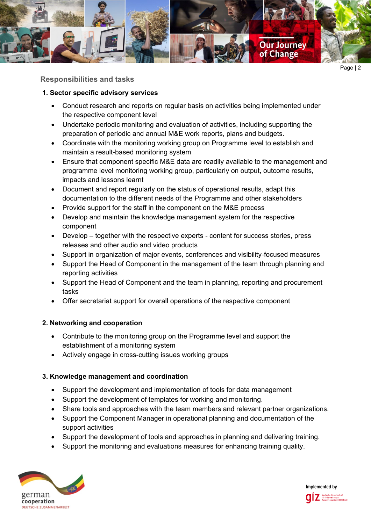

**Responsibilities and tasks**

## **1. Sector specific advisory services**

- Conduct research and reports on regular basis on activities being implemented under the respective component level
- Undertake periodic monitoring and evaluation of activities, including supporting the preparation of periodic and annual M&E work reports, plans and budgets.
- Coordinate with the monitoring working group on Programme level to establish and maintain a result-based monitoring system
- Ensure that component specific M&E data are readily available to the management and programme level monitoring working group, particularly on output, outcome results, impacts and lessons learnt
- Document and report regularly on the status of operational results, adapt this documentation to the different needs of the Programme and other stakeholders
- Provide support for the staff in the component on the M&E process
- Develop and maintain the knowledge management system for the respective component
- Develop together with the respective experts content for success stories, press releases and other audio and video products
- Support in organization of major events, conferences and visibility-focused measures
- Support the Head of Component in the management of the team through planning and reporting activities
- Support the Head of Component and the team in planning, reporting and procurement tasks
- Offer secretariat support for overall operations of the respective component

## **2. Networking and cooperation**

- Contribute to the monitoring group on the Programme level and support the establishment of a monitoring system
- Actively engage in cross-cutting issues working groups

### **3. Knowledge management and coordination**

- Support the development and implementation of tools for data management
- Support the development of templates for working and monitoring.
- Share tools and approaches with the team members and relevant partner organizations.
- Support the Component Manager in operational planning and documentation of the support activities
- Support the development of tools and approaches in planning and delivering training.
- Support the monitoring and evaluations measures for enhancing training quality.



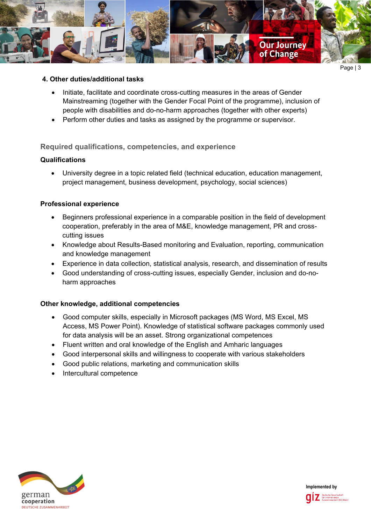

### **4. Other duties/additional tasks**

- Initiate, facilitate and coordinate cross-cutting measures in the areas of Gender Mainstreaming (together with the Gender Focal Point of the programme), inclusion of people with disabilities and do-no-harm approaches (together with other experts)
- Perform other duties and tasks as assigned by the programme or supervisor.

### **Required qualifications, competencies, and experience**

### **Qualifications**

• University degree in a topic related field (technical education, education management, project management, business development, psychology, social sciences)

### **Professional experience**

- Beginners professional experience in a comparable position in the field of development cooperation, preferably in the area of M&E, knowledge management, PR and crosscutting issues
- Knowledge about Results-Based monitoring and Evaluation, reporting, communication and knowledge management
- Experience in data collection, statistical analysis, research, and dissemination of results
- Good understanding of cross-cutting issues, especially Gender, inclusion and do-noharm approaches

### **Other knowledge, additional competencies**

- Good computer skills, especially in Microsoft packages (MS Word, MS Excel, MS Access, MS Power Point). Knowledge of statistical software packages commonly used for data analysis will be an asset. Strong organizational competences
- Fluent written and oral knowledge of the English and Amharic languages
- Good interpersonal skills and willingness to cooperate with various stakeholders
- Good public relations, marketing and communication skills
- Intercultural competence



**Implemented by**